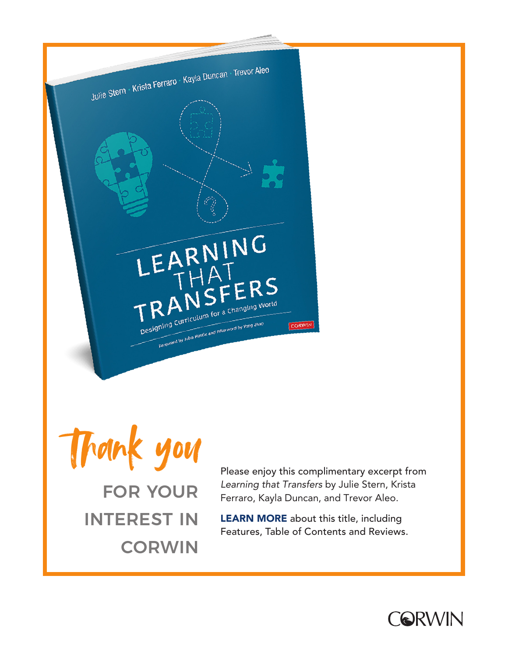

Thank you FOR YOUR INTEREST IN

**CORWIN** 

Please enjoy this complimentary excerpt from Learning that Transfers by Julie Stern, Krista Ferraro, Kayla Duncan, and Trevor Aleo.

[LEARN MORE](https://us.corwin.com/en-us/nam/learning-that-transfers/book275713) about this title, including Features, Table of Contents and Reviews.